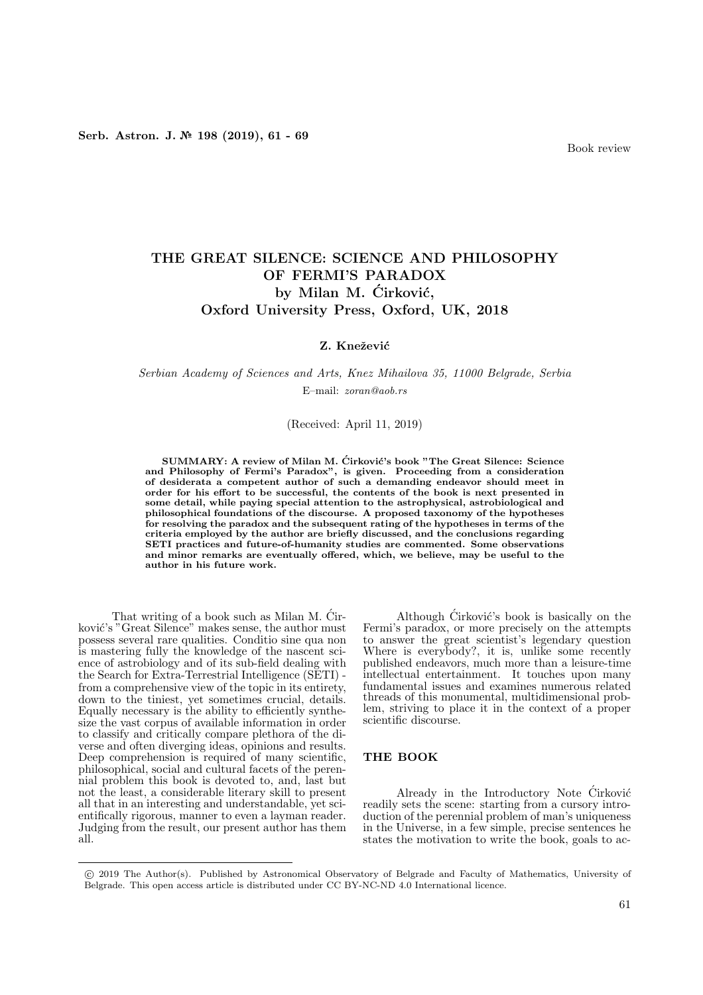# THE GREAT SILENCE: SCIENCE AND PHILOSOPHY OF FERMI'S PARADOX by Milan M. Ćirković, Oxford University Press, Oxford, UK, 2018

### Z. Knežević

## Serbian Academy of Sciences and Arts, Knez Mihailova 35, 11000 Belgrade, Serbia E–mail: zoran@aob.rs

#### (Received: April 11, 2019)

SUMMARY: A review of Milan M. Cirković's book "The Great Silence: Science and Philosophy of Fermi's Paradox", is given. Proceeding from a consideration of desiderata a competent author of such a demanding endeavor should meet in order for his effort to be successful, the contents of the book is next presented in some detail, while paying special attention to the astrophysical, astrobiological and philosophical foundations of the discourse. A proposed taxonomy of the hypotheses for resolving the paradox and the subsequent rating of the hypotheses in terms of the criteria employed by the author are briefly discussed, and the conclusions regarding SETI practices and future-of-humanity studies are commented. Some observations and minor remarks are eventually offered, which, we believe, may be useful to the author in his future work.

That writing of a book such as Milan M. Cir- ´ ković's "Great Silence" makes sense, the author must possess several rare qualities. Conditio sine qua non is mastering fully the knowledge of the nascent science of astrobiology and of its sub-field dealing with the Search for Extra-Terrestrial Intelligence (SETI) from a comprehensive view of the topic in its entirety, down to the tiniest, yet sometimes crucial, details. Equally necessary is the ability to efficiently synthesize the vast corpus of available information in order to classify and critically compare plethora of the diverse and often diverging ideas, opinions and results. Deep comprehension is required of many scientific, philosophical, social and cultural facets of the perennial problem this book is devoted to, and, last but not the least, a considerable literary skill to present all that in an interesting and understandable, yet scientifically rigorous, manner to even a layman reader. Judging from the result, our present author has them all.

Although Cirković's book is basically on the Fermi's paradox, or more precisely on the attempts to answer the great scientist's legendary question Where is everybody?, it is, unlike some recently published endeavors, much more than a leisure-time intellectual entertainment. It touches upon many fundamental issues and examines numerous related threads of this monumental, multidimensional problem, striving to place it in the context of a proper scientific discourse.

#### THE BOOK

Already in the Introductory Note Cirković readily sets the scene: starting from a cursory introduction of the perennial problem of man's uniqueness in the Universe, in a few simple, precise sentences he states the motivation to write the book, goals to ac-

<sup>°</sup>c 2019 The Author(s). Published by Astronomical Observatory of Belgrade and Faculty of Mathematics, University of Belgrade. This open access article is distributed under CC BY-NC-ND 4.0 International licence.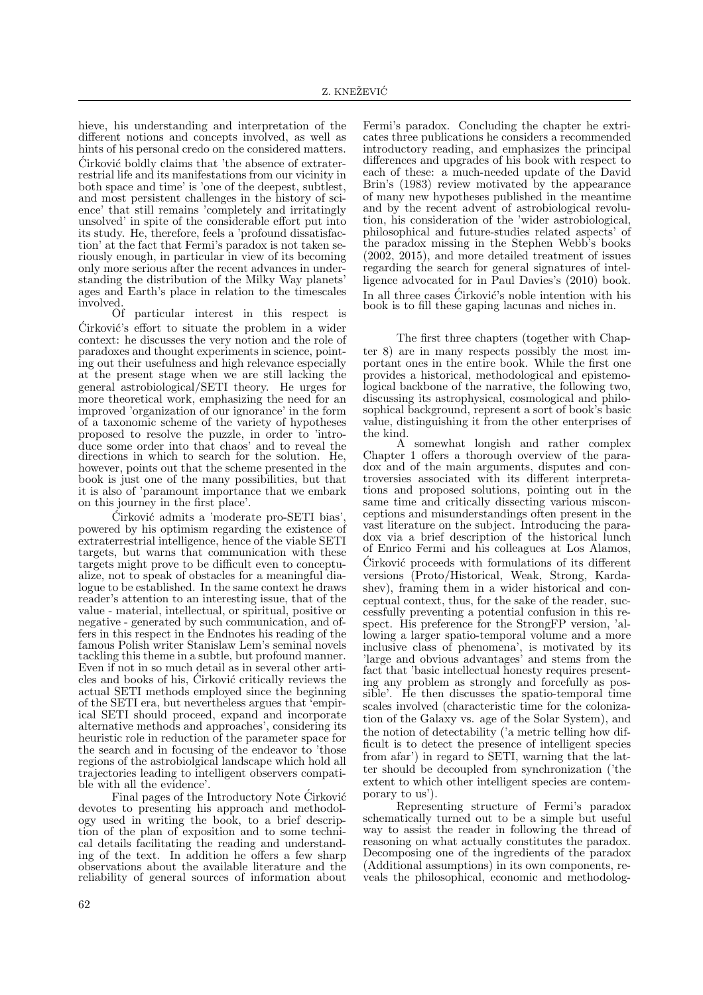hieve, his understanding and interpretation of the different notions and concepts involved, as well as hints of his personal credo on the considered matters.  $\acute{C}$ irković boldly claims that 'the absence of extraterrestrial life and its manifestations from our vicinity in both space and time' is 'one of the deepest, subtlest, and most persistent challenges in the history of science' that still remains 'completely and irritatingly unsolved' in spite of the considerable effort put into its study. He, therefore, feels a 'profound dissatisfaction' at the fact that Fermi's paradox is not taken seriously enough, in particular in view of its becoming only more serious after the recent advances in understanding the distribution of the Milky Way planets' ages and Earth's place in relation to the timescales involved.

Of particular interest in this respect is  $\acute{C}$ irković's effort to situate the problem in a wider context: he discusses the very notion and the role of paradoxes and thought experiments in science, pointing out their usefulness and high relevance especially at the present stage when we are still lacking the general astrobiological/SETI theory. He urges for more theoretical work, emphasizing the need for an improved 'organization of our ignorance' in the form of a taxonomic scheme of the variety of hypotheses proposed to resolve the puzzle, in order to 'introduce some order into that chaos' and to reveal the directions in which to search for the solution. He, however, points out that the scheme presented in the book is just one of the many possibilities, but that it is also of 'paramount importance that we embark on this journey in the first place'.

Ćirković admits a 'moderate pro-SETI bias'. powered by his optimism regarding the existence of extraterrestrial intelligence, hence of the viable SETI targets, but warns that communication with these targets might prove to be difficult even to conceptualize, not to speak of obstacles for a meaningful dialogue to be established. In the same context he draws reader's attention to an interesting issue, that of the value - material, intellectual, or spiritual, positive or negative - generated by such communication, and offers in this respect in the Endnotes his reading of the famous Polish writer Stanislaw Lem's seminal novels tackling this theme in a subtle, but profound manner. Even if not in so much detail as in several other articles and books of his, Cirković critically reviews the actual SETI methods employed since the beginning of the SETI era, but nevertheless argues that 'empirical SETI should proceed, expand and incorporate alternative methods and approaches', considering its heuristic role in reduction of the parameter space for the search and in focusing of the endeavor to 'those regions of the astrobiolgical landscape which hold all trajectories leading to intelligent observers compatible with all the evidence'.

Final pages of the Introductory Note Cirković devotes to presenting his approach and methodology used in writing the book, to a brief description of the plan of exposition and to some technical details facilitating the reading and understanding of the text. In addition he offers a few sharp observations about the available literature and the reliability of general sources of information about

Fermi's paradox. Concluding the chapter he extricates three publications he considers a recommended introductory reading, and emphasizes the principal differences and upgrades of his book with respect to each of these: a much-needed update of the David Brin's (1983) review motivated by the appearance of many new hypotheses published in the meantime and by the recent advent of astrobiological revolution, his consideration of the 'wider astrobiological, philosophical and future-studies related aspects' of the paradox missing in the Stephen Webb's books (2002, 2015), and more detailed treatment of issues regarding the search for general signatures of intelligence advocated for in Paul Davies's (2010) book. In all three cases  $\acute{C}$ irković's noble intention with his book is to fill these gaping lacunas and niches in.

The first three chapters (together with Chapter 8) are in many respects possibly the most important ones in the entire book. While the first one provides a historical, methodological and epistemological backbone of the narrative, the following two, discussing its astrophysical, cosmological and philosophical background, represent a sort of book's basic value, distinguishing it from the other enterprises of the kind.

A somewhat longish and rather complex Chapter 1 offers a thorough overview of the paradox and of the main arguments, disputes and controversies associated with its different interpretations and proposed solutions, pointing out in the same time and critically dissecting various misconceptions and misunderstandings often present in the vast literature on the subject. Introducing the paradox via a brief description of the historical lunch of Enrico Fermi and his colleagues at Los Alamos,  $\dot{C}$ irković proceeds with formulations of its different versions (Proto/Historical, Weak, Strong, Kardashev), framing them in a wider historical and conceptual context, thus, for the sake of the reader, successfully preventing a potential confusion in this respect. His preference for the StrongFP version, 'allowing a larger spatio-temporal volume and a more inclusive class of phenomena', is motivated by its 'large and obvious advantages' and stems from the fact that 'basic intellectual honesty requires presenting any problem as strongly and forcefully as possible'. He then discusses the spatio-temporal time scales involved (characteristic time for the colonization of the Galaxy vs. age of the Solar System), and the notion of detectability ('a metric telling how difficult is to detect the presence of intelligent species from afar') in regard to SETI, warning that the latter should be decoupled from synchronization ('the extent to which other intelligent species are contemporary to us').

Representing structure of Fermi's paradox schematically turned out to be a simple but useful way to assist the reader in following the thread of reasoning on what actually constitutes the paradox. Decomposing one of the ingredients of the paradox (Additional assumptions) in its own components, reveals the philosophical, economic and methodolog-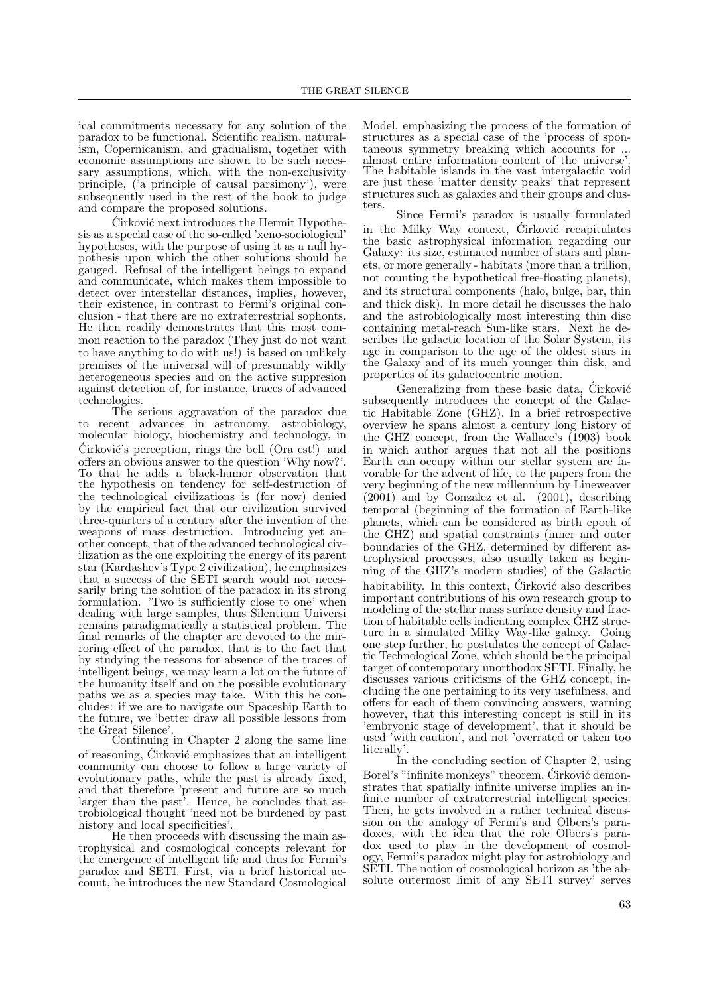ical commitments necessary for any solution of the paradox to be functional. Scientific realism, naturalism, Copernicanism, and gradualism, together with economic assumptions are shown to be such necessary assumptions, which, with the non-exclusivity principle, ('a principle of causal parsimony'), were subsequently used in the rest of the book to judge and compare the proposed solutions.

Cirković next introduces the Hermit Hypothesis as a special case of the so-called 'xeno-sociological' hypotheses, with the purpose of using it as a null hypothesis upon which the other solutions should be gauged. Refusal of the intelligent beings to expand and communicate, which makes them impossible to detect over interstellar distances, implies, however, their existence, in contrast to Fermi's original conclusion - that there are no extraterrestrial sophonts. He then readily demonstrates that this most common reaction to the paradox (They just do not want to have anything to do with us!) is based on unlikely premises of the universal will of presumably wildly heterogeneous species and on the active suppresion against detection of, for instance, traces of advanced technologies.

The serious aggravation of the paradox due recent advances in astronomy, astrobiology, molecular biology, biochemistry and technology, in Cirković's perception, rings the bell (Ora est!) and offers an obvious answer to the question 'Why now?'. To that he adds a black-humor observation that the hypothesis on tendency for self-destruction of the technological civilizations is (for now) denied by the empirical fact that our civilization survived three-quarters of a century after the invention of the weapons of mass destruction. Introducing yet another concept, that of the advanced technological civilization as the one exploiting the energy of its parent star (Kardashev's Type 2 civilization), he emphasizes that a success of the SETI search would not necessarily bring the solution of the paradox in its strong formulation. 'Two is sufficiently close to one' when dealing with large samples, thus Silentium Universi remains paradigmatically a statistical problem. The final remarks of the chapter are devoted to the mirroring effect of the paradox, that is to the fact that by studying the reasons for absence of the traces of intelligent beings, we may learn a lot on the future of the humanity itself and on the possible evolutionary paths we as a species may take. With this he concludes: if we are to navigate our Spaceship Earth to the future, we 'better draw all possible lessons from the Great Silence'.

Continuing in Chapter 2 along the same line of reasoning, Cirković emphasizes that an intelligent community can choose to follow a large variety of evolutionary paths, while the past is already fixed, and that therefore 'present and future are so much larger than the past'. Hence, he concludes that astrobiological thought 'need not be burdened by past history and local specificities'.

He then proceeds with discussing the main astrophysical and cosmological concepts relevant for the emergence of intelligent life and thus for Fermi's paradox and SETI. First, via a brief historical account, he introduces the new Standard Cosmological

Model, emphasizing the process of the formation of structures as a special case of the 'process of spontaneous symmetry breaking which accounts for ... almost entire information content of the universe'. The habitable islands in the vast intergalactic void are just these 'matter density peaks' that represent structures such as galaxies and their groups and clusters.

Since Fermi's paradox is usually formulated in the Milky Way context,  $\acute{C}$ irković recapitulates the basic astrophysical information regarding our Galaxy: its size, estimated number of stars and planets, or more generally - habitats (more than a trillion, not counting the hypothetical free-floating planets), and its structural components (halo, bulge, bar, thin and thick disk). In more detail he discusses the halo and the astrobiologically most interesting thin disc containing metal-reach Sun-like stars. Next he describes the galactic location of the Solar System, its age in comparison to the age of the oldest stars in the Galaxy and of its much younger thin disk, and properties of its galactocentric motion.

Generalizing from these basic data, Cirković subsequently introduces the concept of the Galactic Habitable Zone (GHZ). In a brief retrospective overview he spans almost a century long history of the GHZ concept, from the Wallace's (1903) book in which author argues that not all the positions Earth can occupy within our stellar system are favorable for the advent of life, to the papers from the very beginning of the new millennium by Lineweaver (2001) and by Gonzalez et al. (2001), describing temporal (beginning of the formation of Earth-like planets, which can be considered as birth epoch of the GHZ) and spatial constraints (inner and outer boundaries of the GHZ, determined by different astrophysical processes, also usually taken as beginning of the GHZ's modern studies) of the Galactic habitability. In this context,  $\acute{C}$ irković also describes important contributions of his own research group to modeling of the stellar mass surface density and fraction of habitable cells indicating complex GHZ structure in a simulated Milky Way-like galaxy. Going one step further, he postulates the concept of Galactic Technological Zone, which should be the principal target of contemporary unorthodox SETI. Finally, he discusses various criticisms of the GHZ concept, including the one pertaining to its very usefulness, and offers for each of them convincing answers, warning however, that this interesting concept is still in its 'embryonic stage of development', that it should be used 'with caution', and not 'overrated or taken too literally'.

In the concluding section of Chapter 2, using Borel's "infinite monkeys" theorem, Cirković demonstrates that spatially infinite universe implies an infinite number of extraterrestrial intelligent species. Then, he gets involved in a rather technical discussion on the analogy of Fermi's and Olbers's paradoxes, with the idea that the role Olbers's paradox used to play in the development of cosmology, Fermi's paradox might play for astrobiology and SETI. The notion of cosmological horizon as 'the absolute outermost limit of any SETI survey' serves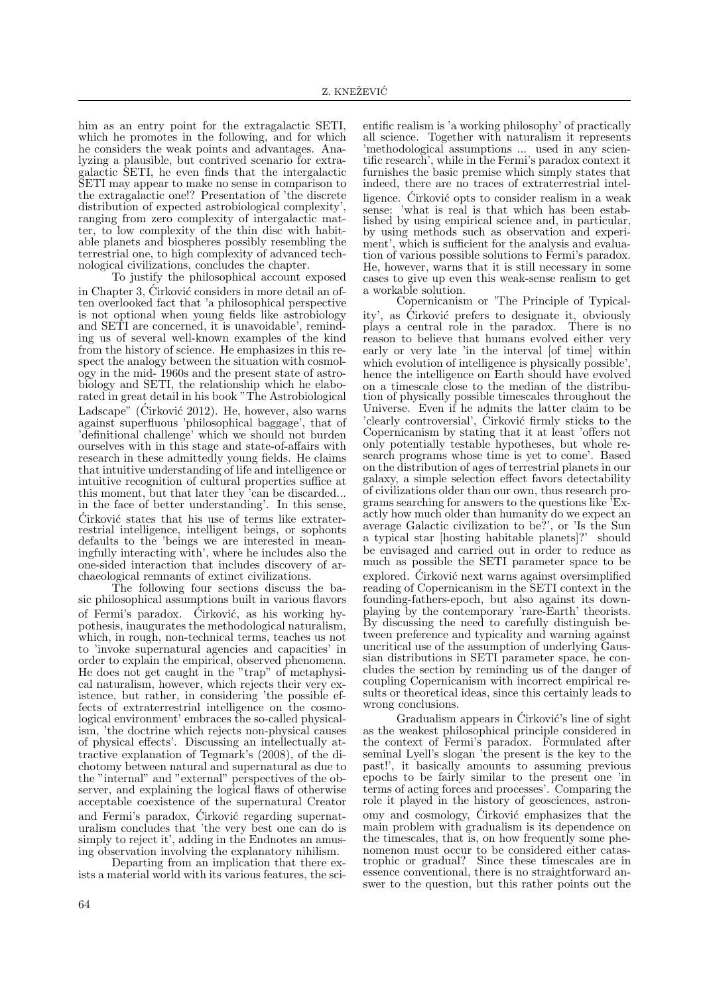him as an entry point for the extragalactic SETI, which he promotes in the following, and for which he considers the weak points and advantages. Analyzing a plausible, but contrived scenario for extragalactic SETI, he even finds that the intergalactic SETI may appear to make no sense in comparison to the extragalactic one!? Presentation of 'the discrete distribution of expected astrobiological complexity', ranging from zero complexity of intergalactic matter, to low complexity of the thin disc with habitable planets and biospheres possibly resembling the terrestrial one, to high complexity of advanced technological civilizations, concludes the chapter.

To justify the philosophical account exposed in Chapter 3, Cirković considers in more detail an often overlooked fact that 'a philosophical perspective is not optional when young fields like astrobiology and SETI are concerned, it is unavoidable', reminding us of several well-known examples of the kind from the history of science. He emphasizes in this respect the analogy between the situation with cosmology in the mid- 1960s and the present state of astrobiology and SETI, the relationship which he elaborated in great detail in his book "The Astrobiological Ladscape" (Ćirković 2012). He, however, also warns against superfluous 'philosophical baggage', that of 'definitional challenge' which we should not burden ourselves with in this stage and state-of-affairs with research in these admittedly young fields. He claims that intuitive understanding of life and intelligence or intuitive recognition of cultural properties suffice at this moment, but that later they 'can be discarded... in the face of better understanding'. In this sense, Cirković states that his use of terms like extraterrestrial intelligence, intelligent beings, or sophonts defaults to the 'beings we are interested in meaningfully interacting with', where he includes also the one-sided interaction that includes discovery of archaeological remnants of extinct civilizations.

The following four sections discuss the basic philosophical assumptions built in various flavors of Fermi's paradox. Cirković, as his working hypothesis, inaugurates the methodological naturalism, which, in rough, non-technical terms, teaches us not to 'invoke supernatural agencies and capacities' in order to explain the empirical, observed phenomena. He does not get caught in the "trap" of metaphysical naturalism, however, which rejects their very existence, but rather, in considering 'the possible effects of extraterrestrial intelligence on the cosmological environment' embraces the so-called physicalism, 'the doctrine which rejects non-physical causes of physical effects'. Discussing an intellectually attractive explanation of Tegmark's (2008), of the dichotomy between natural and supernatural as due to the "internal" and "external" perspectives of the observer, and explaining the logical flaws of otherwise acceptable coexistence of the supernatural Creator and Fermi's paradox, Cirković regarding supernaturalism concludes that 'the very best one can do is simply to reject it', adding in the Endnotes an amusing observation involving the explanatory nihilism.

Departing from an implication that there exists a material world with its various features, the sci-

entific realism is 'a working philosophy' of practically all science. Together with naturalism it represents 'methodological assumptions ... used in any scientific research', while in the Fermi's paradox context it furnishes the basic premise which simply states that indeed, there are no traces of extraterrestrial intelligence. Cirković opts to consider realism in a weak sense: 'what is real is that which has been established by using empirical science and, in particular, by using methods such as observation and experiment', which is sufficient for the analysis and evaluation of various possible solutions to Fermi's paradox. He, however, warns that it is still necessary in some cases to give up even this weak-sense realism to get a workable solution.

Copernicanism or 'The Principle of Typicality', as Cirković prefers to designate it, obviously plays a central role in the paradox. There is no reason to believe that humans evolved either very early or very late 'in the interval [of time] within which evolution of intelligence is physically possible', hence the intelligence on Earth should have evolved on a timescale close to the median of the distribution of physically possible timescales throughout the Universe. Even if he admits the latter claim to be 'clearly controversial', Cirković firmly sticks to the Copernicanism by stating that it at least 'offers not only potentially testable hypotheses, but whole research programs whose time is yet to come'. Based on the distribution of ages of terrestrial planets in our galaxy, a simple selection effect favors detectability of civilizations older than our own, thus research programs searching for answers to the questions like 'Exactly how much older than humanity do we expect an average Galactic civilization to be?', or 'Is the Sun a typical star [hosting habitable planets]?' should be envisaged and carried out in order to reduce as much as possible the SETI parameter space to be explored. Cirković next warns against oversimplified reading of Copernicanism in the SETI context in the founding-fathers-epoch, but also against its downplaying by the contemporary 'rare-Earth' theorists. By discussing the need to carefully distinguish between preference and typicality and warning against uncritical use of the assumption of underlying Gaussian distributions in SETI parameter space, he concludes the section by reminding us of the danger of coupling Copernicanism with incorrect empirical results or theoretical ideas, since this certainly leads to wrong conclusions.

Gradualism appears in Cirković's line of sight as the weakest philosophical principle considered in the context of Fermi's paradox. Formulated after seminal Lyell's slogan 'the present is the key to the past!', it basically amounts to assuming previous epochs to be fairly similar to the present one 'in terms of acting forces and processes'. Comparing the role it played in the history of geosciences, astronomy and cosmology, Cirković emphasizes that the main problem with gradualism is its dependence on the timescales, that is, on how frequently some phenomenon must occur to be considered either catastrophic or gradual? Since these timescales are in essence conventional, there is no straightforward answer to the question, but this rather points out the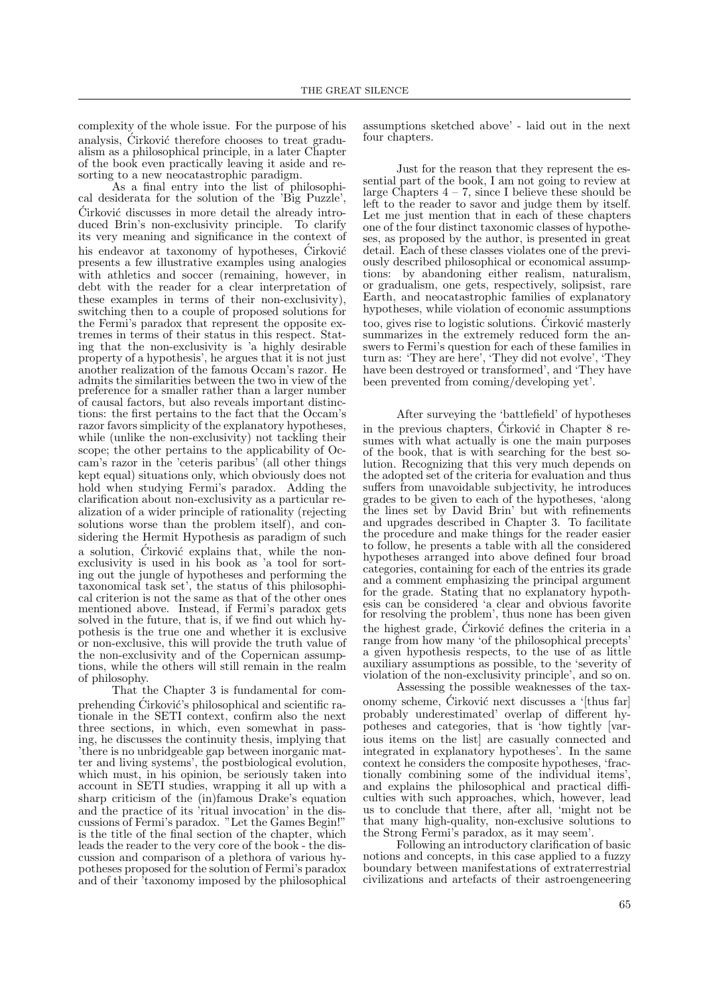complexity of the whole issue. For the purpose of his analysis, Cirković therefore chooses to treat gradualism as a philosophical principle, in a later Chapter of the book even practically leaving it aside and resorting to a new neocatastrophic paradigm.

As a final entry into the list of philosophical desiderata for the solution of the 'Big Puzzle',  $\acute{C}$ irković discusses in more detail the already introduced Brin's non-exclusivity principle. To clarify its very meaning and significance in the context of his endeavor at taxonomy of hypotheses, Cirković presents a few illustrative examples using analogies with athletics and soccer (remaining, however, in debt with the reader for a clear interpretation of these examples in terms of their non-exclusivity), switching then to a couple of proposed solutions for the Fermi's paradox that represent the opposite extremes in terms of their status in this respect. Stating that the non-exclusivity is 'a highly desirable property of a hypothesis', he argues that it is not just another realization of the famous Occam's razor. He admits the similarities between the two in view of the preference for a smaller rather than a larger number of causal factors, but also reveals important distinctions: the first pertains to the fact that the Occam's razor favors simplicity of the explanatory hypotheses, while (unlike the non-exclusivity) not tackling their scope; the other pertains to the applicability of Occam's razor in the 'ceteris paribus' (all other things kept equal) situations only, which obviously does not hold when studying Fermi's paradox. Adding the clarification about non-exclusivity as a particular realization of a wider principle of rationality (rejecting solutions worse than the problem itself), and considering the Hermit Hypothesis as paradigm of such a solution, Cirković explains that, while the nonexclusivity is used in his book as 'a tool for sorting out the jungle of hypotheses and performing the taxonomical task set', the status of this philosophical criterion is not the same as that of the other ones mentioned above. Instead, if Fermi's paradox gets solved in the future, that is, if we find out which hypothesis is the true one and whether it is exclusive or non-exclusive, this will provide the truth value of the non-exclusivity and of the Copernican assumptions, while the others will still remain in the realm of philosophy.

That the Chapter 3 is fundamental for comprehending Cirković's philosophical and scientific rationale in the SETI context, confirm also the next three sections, in which, even somewhat in passing, he discusses the continuity thesis, implying that 'there is no unbridgeable gap between inorganic matter and living systems', the postbiological evolution, which must, in his opinion, be seriously taken into account in SETI studies, wrapping it all up with a sharp criticism of the (in)famous Drake's equation and the practice of its 'ritual invocation' in the discussions of Fermi's paradox. "Let the Games Begin!" is the title of the final section of the chapter, which leads the reader to the very core of the book - the discussion and comparison of a plethora of various hypotheses proposed for the solution of Fermi's paradox and of their 'taxonomy imposed by the philosophical

assumptions sketched above' - laid out in the next four chapters.

Just for the reason that they represent the essential part of the book, I am not going to review at large Chapters  $4 - 7$ , since I believe these should be left to the reader to savor and judge them by itself. Let me just mention that in each of these chapters one of the four distinct taxonomic classes of hypotheses, as proposed by the author, is presented in great detail. Each of these classes violates one of the previously described philosophical or economical assumptions: by abandoning either realism, naturalism, or gradualism, one gets, respectively, solipsist, rare Earth, and neocatastrophic families of explanatory hypotheses, while violation of economic assumptions too, gives rise to logistic solutions. Ćirković masterly summarizes in the extremely reduced form the answers to Fermi's question for each of these families in turn as: 'They are here', 'They did not evolve', 'They have been destroyed or transformed', and 'They have been prevented from coming/developing yet'.

After surveying the 'battlefield' of hypotheses in the previous chapters, Cirković in Chapter 8 resumes with what actually is one the main purposes of the book, that is with searching for the best solution. Recognizing that this very much depends on the adopted set of the criteria for evaluation and thus suffers from unavoidable subjectivity, he introduces grades to be given to each of the hypotheses, 'along the lines set by David Brin' but with refinements and upgrades described in Chapter 3. To facilitate the procedure and make things for the reader easier to follow, he presents a table with all the considered hypotheses arranged into above defined four broad categories, containing for each of the entries its grade and a comment emphasizing the principal argument for the grade. Stating that no explanatory hypothesis can be considered 'a clear and obvious favorite for resolving the problem', thus none has been given the highest grade, Cirković defines the criteria in a range from how many 'of the philosophical precepts' a given hypothesis respects, to the use of as little auxiliary assumptions as possible, to the 'severity of violation of the non-exclusivity principle', and so on.

Assessing the possible weaknesses of the taxonomy scheme, Cirković next discusses a '[thus far] probably underestimated' overlap of different hypotheses and categories, that is 'how tightly [various items on the list] are casually connected and integrated in explanatory hypotheses'. In the same context he considers the composite hypotheses, 'fractionally combining some of the individual items', and explains the philosophical and practical difficulties with such approaches, which, however, lead us to conclude that there, after all, 'might not be that many high-quality, non-exclusive solutions to the Strong Fermi's paradox, as it may seem'.

Following an introductory clarification of basic notions and concepts, in this case applied to a fuzzy boundary between manifestations of extraterrestrial civilizations and artefacts of their astroengeneering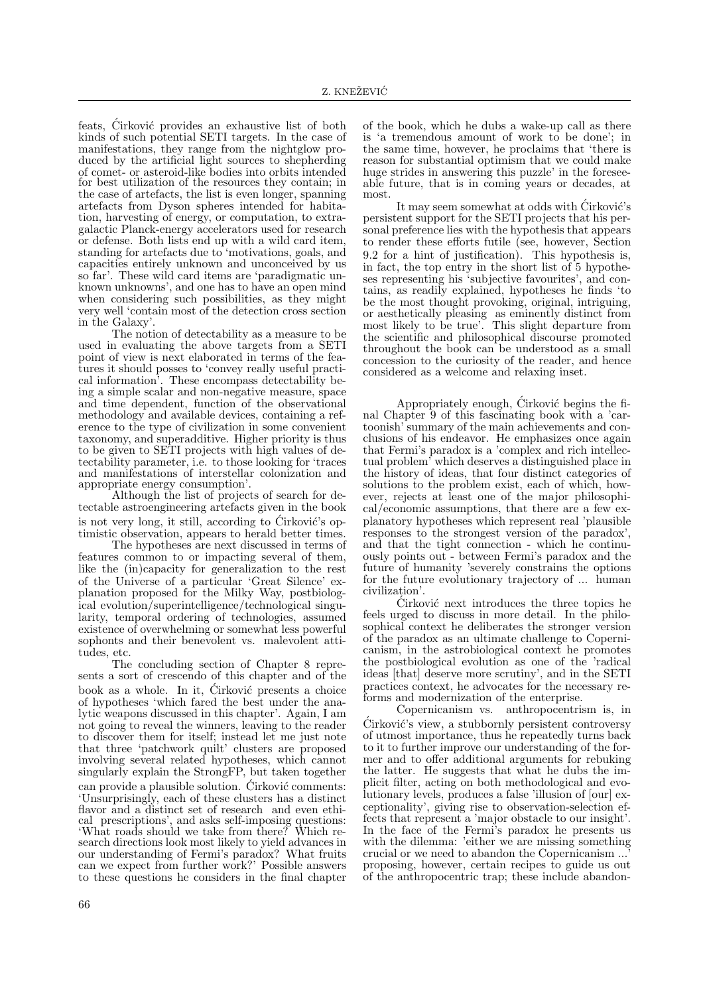feats, Cirković provides an exhaustive list of both kinds of such potential SETI targets. In the case of manifestations, they range from the nightglow produced by the artificial light sources to shepherding of comet- or asteroid-like bodies into orbits intended for best utilization of the resources they contain; in the case of artefacts, the list is even longer, spanning artefacts from Dyson spheres intended for habitation, harvesting of energy, or computation, to extragalactic Planck-energy accelerators used for research or defense. Both lists end up with a wild card item, standing for artefacts due to 'motivations, goals, and capacities entirely unknown and unconceived by us so far'. These wild card items are 'paradigmatic unknown unknowns', and one has to have an open mind when considering such possibilities, as they might very well 'contain most of the detection cross section in the Galaxy'.

The notion of detectability as a measure to be used in evaluating the above targets from a SETI point of view is next elaborated in terms of the features it should posses to 'convey really useful practical information'. These encompass detectability being a simple scalar and non-negative measure, space and time dependent, function of the observational methodology and available devices, containing a reference to the type of civilization in some convenient taxonomy, and superadditive. Higher priority is thus to be given to SETI projects with high values of detectability parameter, i.e. to those looking for 'traces and manifestations of interstellar colonization and appropriate energy consumption'.

Although the list of projects of search for detectable astroengineering artefacts given in the book is not very long, it still, according to  $\acute{C}$ irković's optimistic observation, appears to herald better times.

The hypotheses are next discussed in terms of features common to or impacting several of them, like the (in)capacity for generalization to the rest of the Universe of a particular 'Great Silence' explanation proposed for the Milky Way, postbiological evolution/superintelligence/technological singularity, temporal ordering of technologies, assumed existence of overwhelming or somewhat less powerful sophonts and their benevolent vs. malevolent attitudes, etc.

The concluding section of Chapter 8 represents a sort of crescendo of this chapter and of the book as a whole. In it, Cirković presents a choice of hypotheses 'which fared the best under the analytic weapons discussed in this chapter'. Again, I am not going to reveal the winners, leaving to the reader to discover them for itself; instead let me just note that three 'patchwork quilt' clusters are proposed involving several related hypotheses, which cannot singularly explain the StrongFP, but taken together can provide a plausible solution.  $\acute{C}$ irković comments: 'Unsurprisingly, each of these clusters has a distinct flavor and a distinct set of research and even ethical prescriptions', and asks self-imposing questions: 'What roads should we take from there? Which research directions look most likely to yield advances in our understanding of Fermi's paradox? What fruits can we expect from further work?' Possible answers to these questions he considers in the final chapter

of the book, which he dubs a wake-up call as there is 'a tremendous amount of work to be done'; in the same time, however, he proclaims that 'there is reason for substantial optimism that we could make huge strides in answering this puzzle' in the foreseeable future, that is in coming years or decades, at most.

It may seem somewhat at odds with Cirković's persistent support for the SETI projects that his personal preference lies with the hypothesis that appears to render these efforts futile (see, however, Section 9.2 for a hint of justification). This hypothesis is, in fact, the top entry in the short list of 5 hypotheses representing his 'subjective favourites', and contains, as readily explained, hypotheses he finds 'to be the most thought provoking, original, intriguing, or aesthetically pleasing as eminently distinct from most likely to be true'. This slight departure from the scientific and philosophical discourse promoted throughout the book can be understood as a small concession to the curiosity of the reader, and hence considered as a welcome and relaxing inset.

Appropriately enough, Cirković begins the final Chapter 9 of this fascinating book with a 'cartoonish' summary of the main achievements and conclusions of his endeavor. He emphasizes once again that Fermi's paradox is a 'complex and rich intellectual problem' which deserves a distinguished place in the history of ideas, that four distinct categories of solutions to the problem exist, each of which, however, rejects at least one of the major philosophical/economic assumptions, that there are a few explanatory hypotheses which represent real 'plausible responses to the strongest version of the paradox', and that the tight connection - which he continuously points out - between Fermi's paradox and the future of humanity 'severely constrains the options for the future evolutionary trajectory of ... human civilization'.

 $\acute{C}$ irković next introduces the three topics he feels urged to discuss in more detail. In the philosophical context he deliberates the stronger version of the paradox as an ultimate challenge to Copernicanism, in the astrobiological context he promotes the postbiological evolution as one of the 'radical ideas [that] deserve more scrutiny', and in the SETI practices context, he advocates for the necessary reforms and modernization of the enterprise.

Copernicanism vs. anthropocentrism is, in Cirković's view, a stubbornly persistent controversy of utmost importance, thus he repeatedly turns back to it to further improve our understanding of the former and to offer additional arguments for rebuking the latter. He suggests that what he dubs the implicit filter, acting on both methodological and evolutionary levels, produces a false 'illusion of [our] exceptionality', giving rise to observation-selection effects that represent a 'major obstacle to our insight'. In the face of the Fermi's paradox he presents us with the dilemma: 'either we are missing something crucial or we need to abandon the Copernicanism ...' proposing, however, certain recipes to guide us out of the anthropocentric trap; these include abandon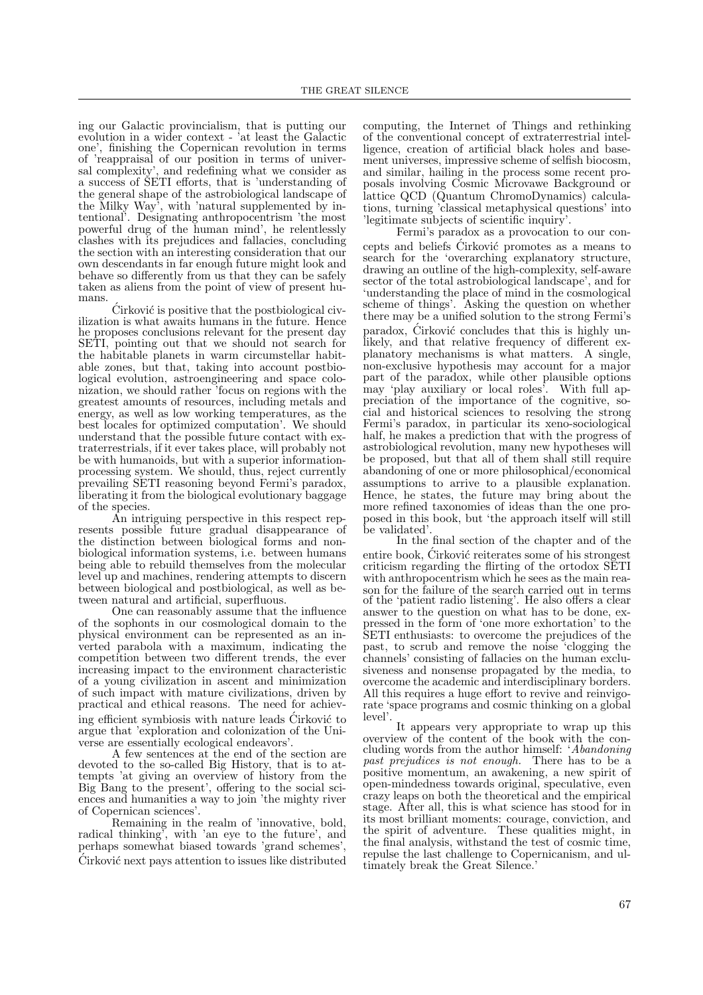ing our Galactic provincialism, that is putting our evolution in a wider context - 'at least the Galactic one', finishing the Copernican revolution in terms of 'reappraisal of our position in terms of universal complexity', and redefining what we consider as a success of SETI efforts, that is 'understanding of the general shape of the astrobiological landscape of the Milky Way', with 'natural supplemented by intentional'. Designating anthropocentrism 'the most powerful drug of the human mind', he relentlessly clashes with its prejudices and fallacies, concluding the section with an interesting consideration that our own descendants in far enough future might look and behave so differently from us that they can be safely taken as aliens from the point of view of present humans.

 $\acute{C}$ irković is positive that the postbiological civilization is what awaits humans in the future. Hence he proposes conclusions relevant for the present day SETI, pointing out that we should not search for the habitable planets in warm circumstellar habitable zones, but that, taking into account postbiological evolution, astroengineering and space colonization, we should rather 'focus on regions with the greatest amounts of resources, including metals and energy, as well as low working temperatures, as the best locales for optimized computation'. We should understand that the possible future contact with extraterrestrials, if it ever takes place, will probably not be with humanoids, but with a superior informationprocessing system. We should, thus, reject currently prevailing SETI reasoning beyond Fermi's paradox, liberating it from the biological evolutionary baggage of the species.

An intriguing perspective in this respect represents possible future gradual disappearance of the distinction between biological forms and nonbiological information systems, i.e. between humans being able to rebuild themselves from the molecular level up and machines, rendering attempts to discern between biological and postbiological, as well as between natural and artificial, superfluous.

One can reasonably assume that the influence of the sophonts in our cosmological domain to the physical environment can be represented as an inverted parabola with a maximum, indicating the competition between two different trends, the ever increasing impact to the environment characteristic of a young civilization in ascent and minimization of such impact with mature civilizations, driven by practical and ethical reasons. The need for achieving efficient symbiosis with nature leads Cirković to argue that 'exploration and colonization of the Universe are essentially ecological endeavors'.

A few sentences at the end of the section are devoted to the so-called Big History, that is to attempts 'at giving an overview of history from the Big Bang to the present', offering to the social sciences and humanities a way to join 'the mighty river of Copernican sciences'.

Remaining in the realm of 'innovative, bold, radical thinking', with 'an eye to the future', and perhaps somewhat biased towards 'grand schemes', Cirković next pays attention to issues like distributed computing, the Internet of Things and rethinking of the conventional concept of extraterrestrial intelligence, creation of artificial black holes and basement universes, impressive scheme of selfish biocosm, and similar, hailing in the process some recent proposals involving Cosmic Microvawe Background or lattice QCD (Quantum ChromoDynamics) calculations, turning 'classical metaphysical questions' into 'legitimate subjects of scientific inquiry'.

Fermi's paradox as a provocation to our concepts and beliefs Cirković promotes as a means to search for the 'overarching explanatory structure, drawing an outline of the high-complexity, self-aware sector of the total astrobiological landscape', and for 'understanding the place of mind in the cosmological scheme of things'. Asking the question on whether there may be a unified solution to the strong Fermi's paradox, Cirković concludes that this is highly unlikely, and that relative frequency of different explanatory mechanisms is what matters. A single, non-exclusive hypothesis may account for a major part of the paradox, while other plausible options may 'play auxiliary or local roles'. With full appreciation of the importance of the cognitive, social and historical sciences to resolving the strong Fermi's paradox, in particular its xeno-sociological half, he makes a prediction that with the progress of astrobiological revolution, many new hypotheses will be proposed, but that all of them shall still require abandoning of one or more philosophical/economical assumptions to arrive to a plausible explanation. Hence, he states, the future may bring about the more refined taxonomies of ideas than the one proposed in this book, but 'the approach itself will still be validated'.

In the final section of the chapter and of the entire book, Cirković reiterates some of his strongest criticism regarding the flirting of the ortodox SETI with anthropocentrism which he sees as the main reason for the failure of the search carried out in terms of the 'patient radio listening'. He also offers a clear answer to the question on what has to be done, expressed in the form of 'one more exhortation' to the SETI enthusiasts: to overcome the prejudices of the past, to scrub and remove the noise 'clogging the channels' consisting of fallacies on the human exclusiveness and nonsense propagated by the media, to overcome the academic and interdisciplinary borders. All this requires a huge effort to revive and reinvigorate 'space programs and cosmic thinking on a global level'.

It appears very appropriate to wrap up this overview of the content of the book with the concluding words from the author himself: 'Abandoning past prejudices is not enough. There has to be a positive momentum, an awakening, a new spirit of open-mindedness towards original, speculative, even crazy leaps on both the theoretical and the empirical stage. After all, this is what science has stood for in its most brilliant moments: courage, conviction, and the spirit of adventure. These qualities might, in the final analysis, withstand the test of cosmic time, repulse the last challenge to Copernicanism, and ultimately break the Great Silence.'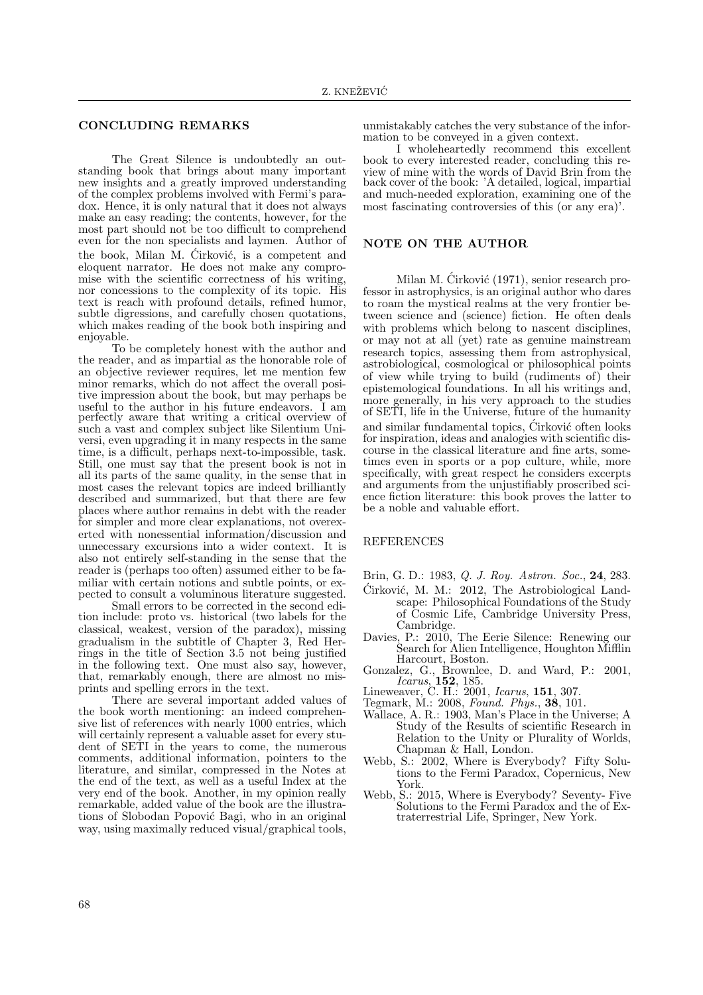#### CONCLUDING REMARKS

The Great Silence is undoubtedly an outstanding book that brings about many important new insights and a greatly improved understanding of the complex problems involved with Fermi's paradox. Hence, it is only natural that it does not always make an easy reading; the contents, however, for the most part should not be too difficult to comprehend even for the non specialists and laymen. Author of the book, Milan M. Cirković, is a competent and eloquent narrator. He does not make any compromise with the scientific correctness of his writing, nor concessions to the complexity of its topic. His text is reach with profound details, refined humor, subtle digressions, and carefully chosen quotations, which makes reading of the book both inspiring and enjoyable.

To be completely honest with the author and the reader, and as impartial as the honorable role of an objective reviewer requires, let me mention few minor remarks, which do not affect the overall positive impression about the book, but may perhaps be useful to the author in his future endeavors. I am perfectly aware that writing a critical overview of such a vast and complex subject like Silentium Universi, even upgrading it in many respects in the same time, is a difficult, perhaps next-to-impossible, task. Still, one must say that the present book is not in all its parts of the same quality, in the sense that in most cases the relevant topics are indeed brilliantly described and summarized, but that there are few places where author remains in debt with the reader for simpler and more clear explanations, not overexerted with nonessential information/discussion and unnecessary excursions into a wider context. It is also not entirely self-standing in the sense that the reader is (perhaps too often) assumed either to be familiar with certain notions and subtle points, or expected to consult a voluminous literature suggested.

Small errors to be corrected in the second edition include: proto vs. historical (two labels for the classical, weakest, version of the paradox), missing gradualism in the subtitle of Chapter 3, Red Herrings in the title of Section 3.5 not being justified in the following text. One must also say, however, that, remarkably enough, there are almost no misprints and spelling errors in the text.

There are several important added values of the book worth mentioning: an indeed comprehensive list of references with nearly 1000 entries, which will certainly represent a valuable asset for every student of SETI in the years to come, the numerous comments, additional information, pointers to the literature, and similar, compressed in the Notes at the end of the text, as well as a useful Index at the very end of the book. Another, in my opinion really remarkable, added value of the book are the illustrations of Slobodan Popović Bagi, who in an original way, using maximally reduced visual/graphical tools,

unmistakably catches the very substance of the information to be conveyed in a given context.

I wholeheartedly recommend this excellent book to every interested reader, concluding this review of mine with the words of David Brin from the back cover of the book: 'A detailed, logical, impartial and much-needed exploration, examining one of the most fascinating controversies of this (or any era)'.

### NOTE ON THE AUTHOR

Milan M. Ćirković (1971), senior research professor in astrophysics, is an original author who dares to roam the mystical realms at the very frontier between science and (science) fiction. He often deals with problems which belong to nascent disciplines, or may not at all (yet) rate as genuine mainstream research topics, assessing them from astrophysical, astrobiological, cosmological or philosophical points of view while trying to build (rudiments of) their epistemological foundations. In all his writings and, more generally, in his very approach to the studies of SETI, life in the Universe, future of the humanity and similar fundamental topics, Cirković often looks for inspiration, ideas and analogies with scientific discourse in the classical literature and fine arts, sometimes even in sports or a pop culture, while, more specifically, with great respect he considers excerpts and arguments from the unjustifiably proscribed science fiction literature: this book proves the latter to be a noble and valuable effort.

#### REFERENCES

- Brin, G. D.: 1983, Q. J. Roy. Astron. Soc., 24, 283.
- $\acute{C}$ irković, M. M.: 2012, The Astrobiological Landscape: Philosophical Foundations of the Study of Cosmic Life, Cambridge University Press, Cambridge.
- Davies, P.: 2010, The Eerie Silence: Renewing our Search for Alien Intelligence, Houghton Mifflin Harcourt, Boston.
- Gonzalez, G., Brownlee, D. and Ward, P.: 2001,  $Icarus, 152, 185.$
- Lineweaver, C. H.: 2001, *Icarus*, **151**, 307.
- Tegmark, M.: 2008, Found. Phys., 38, 101.
- Wallace, A. R.: 1903, Man's Place in the Universe; A Study of the Results of scientific Research in Relation to the Unity or Plurality of Worlds, Chapman & Hall, London.
- Webb, S.: 2002, Where is Everybody? Fifty Solutions to the Fermi Paradox, Copernicus, New York.
- Webb, S.: 2015, Where is Everybody? Seventy- Five Solutions to the Fermi Paradox and the of Extraterrestrial Life, Springer, New York.